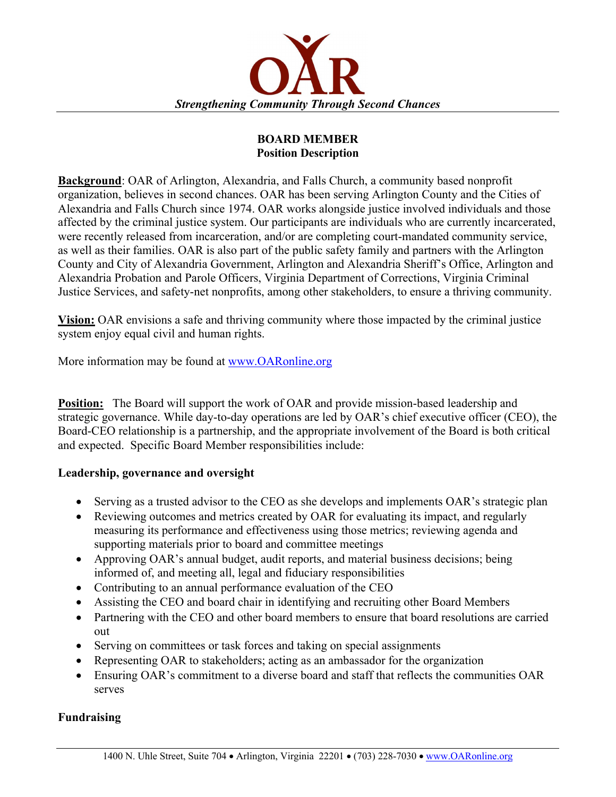

### **BOARD MEMBER Position Description**

**Background**: OAR of Arlington, Alexandria, and Falls Church, a community based nonprofit organization, believes in second chances. OAR has been serving Arlington County and the Cities of Alexandria and Falls Church since 1974. OAR works alongside justice involved individuals and those affected by the criminal justice system. Our participants are individuals who are currently incarcerated, were recently released from incarceration, and/or are completing court-mandated community service, as well as their families. OAR is also part of the public safety family and partners with the Arlington County and City of Alexandria Government, Arlington and Alexandria Sheriff's Office, Arlington and Alexandria Probation and Parole Officers, Virginia Department of Corrections, Virginia Criminal Justice Services, and safety-net nonprofits, among other stakeholders, to ensure a thriving community.

**Vision:** OAR envisions a safe and thriving community where those impacted by the criminal justice system enjoy equal civil and human rights.

More information may be found at www.OARonline.org

**Position:** The Board will support the work of OAR and provide mission-based leadership and strategic governance. While day-to-day operations are led by OAR's chief executive officer (CEO), the Board-CEO relationship is a partnership, and the appropriate involvement of the Board is both critical and expected. Specific Board Member responsibilities include:

#### **Leadership, governance and oversight**

- Serving as a trusted advisor to the CEO as she develops and implements OAR's strategic plan
- Reviewing outcomes and metrics created by OAR for evaluating its impact, and regularly measuring its performance and effectiveness using those metrics; reviewing agenda and supporting materials prior to board and committee meetings
- Approving OAR's annual budget, audit reports, and material business decisions; being informed of, and meeting all, legal and fiduciary responsibilities
- Contributing to an annual performance evaluation of the CEO
- Assisting the CEO and board chair in identifying and recruiting other Board Members
- Partnering with the CEO and other board members to ensure that board resolutions are carried out
- Serving on committees or task forces and taking on special assignments
- Representing OAR to stakeholders; acting as an ambassador for the organization
- Ensuring OAR's commitment to a diverse board and staff that reflects the communities OAR serves

# **Fundraising**